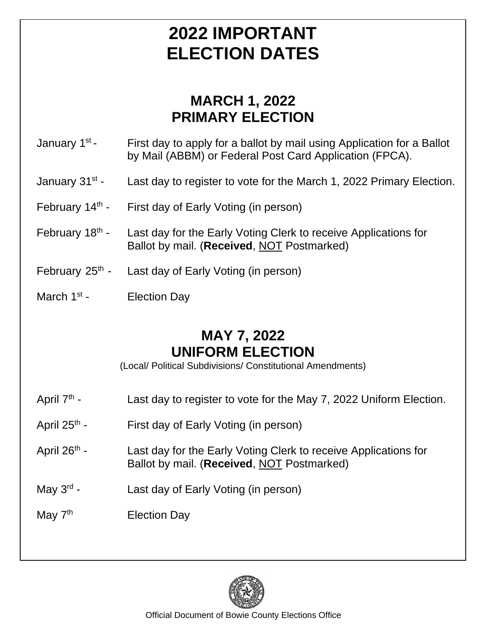## **2022 IMPORTANT ELECTION DATES**

### **MARCH 1, 2022 PRIMARY ELECTION**

January 1st First day to apply for a ballot by mail using Application for a Ballot by Mail (ABBM) or Federal Post Card Application (FPCA).

- January 31<sup>st</sup> -Last day to register to vote for the March 1, 2022 Primary Election.
- February 14<sup>th</sup> -First day of Early Voting (in person)
- February 18<sup>th</sup> -Last day for the Early Voting Clerk to receive Applications for Ballot by mail. (**Received**, NOT Postmarked)
- February  $25<sup>th</sup>$  -Last day of Early Voting (in person)
- March  $1<sup>st</sup>$  -**Election Day**

#### **MAY 7, 2022 UNIFORM ELECTION**

(Local/ Political Subdivisions/ Constitutional Amendments)

- April 7<sup>th</sup> -Last day to register to vote for the May 7, 2022 Uniform Election.
- April  $25<sup>th</sup>$  -First day of Early Voting (in person)
- April  $26<sup>th</sup>$  -Last day for the Early Voting Clerk to receive Applications for Ballot by mail. (**Received**, NOT Postmarked)
- May  $3^{\text{rd}}$  -Last day of Early Voting (in person)
- May  $7<sup>th</sup>$  Election Day



Official Document of Bowie County Elections Office